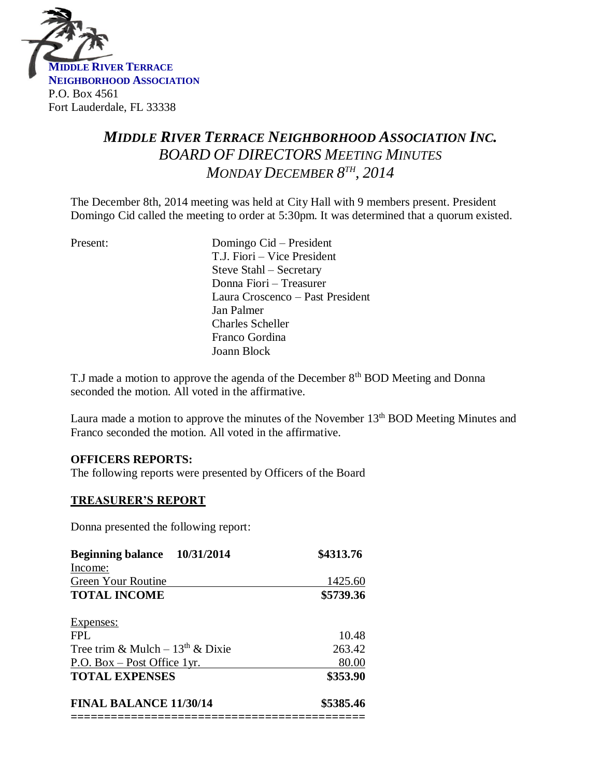

# *MIDDLE RIVER TERRACE NEIGHBORHOOD ASSOCIATION INC. BOARD OF DIRECTORS MEETING MINUTES MONDAY DECEMBER 8 TH , 2014*

The December 8th, 2014 meeting was held at City Hall with 9 members present. President Domingo Cid called the meeting to order at 5:30pm. It was determined that a quorum existed.

Present: Domingo Cid – President T.J. Fiori – Vice President Steve Stahl – Secretary Donna Fiori – Treasurer Laura Croscenco – Past President Jan Palmer Charles Scheller Franco Gordina Joann Block

T.J made a motion to approve the agenda of the December 8<sup>th</sup> BOD Meeting and Donna seconded the motion. All voted in the affirmative.

Laura made a motion to approve the minutes of the November 13<sup>th</sup> BOD Meeting Minutes and Franco seconded the motion. All voted in the affirmative.

#### **OFFICERS REPORTS:**

The following reports were presented by Officers of the Board

#### **TREASURER'S REPORT**

Donna presented the following report:

| Beginning balance 10/31/2014       | \$4313.76 |
|------------------------------------|-----------|
| Income:                            |           |
| Green Your Routine                 | 1425.60   |
| <b>TOTAL INCOME</b>                | \$5739.36 |
| Expenses:                          |           |
| FPI.                               | 10.48     |
| Tree trim & Mulch – $13th$ & Dixie | 263.42    |
| P.O. Box $-$ Post Office 1yr.      | 80.00     |
| <b>TOTAL EXPENSES</b>              | \$353.90  |
| <b>FINAL BALANCE 11/30/14</b>      | \$5385.46 |
|                                    |           |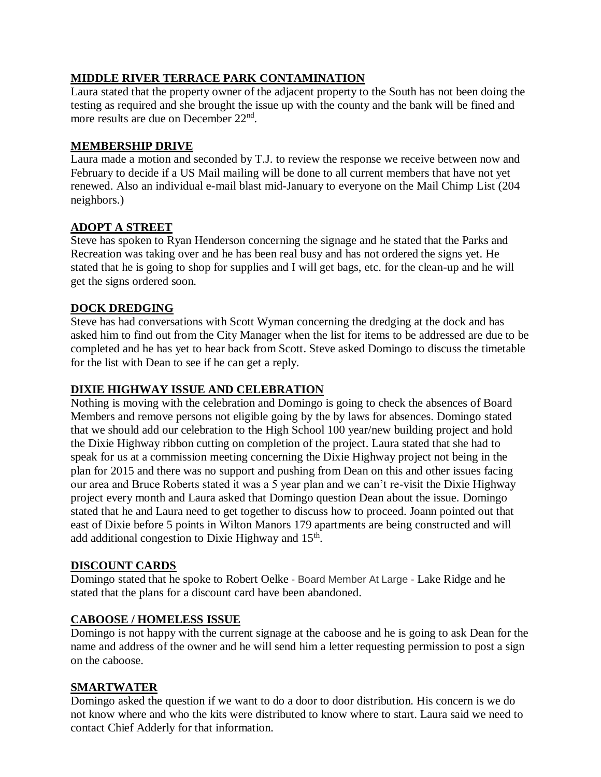# **MIDDLE RIVER TERRACE PARK CONTAMINATION**

Laura stated that the property owner of the adjacent property to the South has not been doing the testing as required and she brought the issue up with the county and the bank will be fined and more results are due on December 22<sup>nd</sup>.

## **MEMBERSHIP DRIVE**

Laura made a motion and seconded by T.J. to review the response we receive between now and February to decide if a US Mail mailing will be done to all current members that have not yet renewed. Also an individual e-mail blast mid-January to everyone on the Mail Chimp List (204 neighbors.)

# **ADOPT A STREET**

Steve has spoken to Ryan Henderson concerning the signage and he stated that the Parks and Recreation was taking over and he has been real busy and has not ordered the signs yet. He stated that he is going to shop for supplies and I will get bags, etc. for the clean-up and he will get the signs ordered soon.

# **DOCK DREDGING**

Steve has had conversations with Scott Wyman concerning the dredging at the dock and has asked him to find out from the City Manager when the list for items to be addressed are due to be completed and he has yet to hear back from Scott. Steve asked Domingo to discuss the timetable for the list with Dean to see if he can get a reply.

## **DIXIE HIGHWAY ISSUE AND CELEBRATION**

Nothing is moving with the celebration and Domingo is going to check the absences of Board Members and remove persons not eligible going by the by laws for absences. Domingo stated that we should add our celebration to the High School 100 year/new building project and hold the Dixie Highway ribbon cutting on completion of the project. Laura stated that she had to speak for us at a commission meeting concerning the Dixie Highway project not being in the plan for 2015 and there was no support and pushing from Dean on this and other issues facing our area and Bruce Roberts stated it was a 5 year plan and we can't re-visit the Dixie Highway project every month and Laura asked that Domingo question Dean about the issue. Domingo stated that he and Laura need to get together to discuss how to proceed. Joann pointed out that east of Dixie before 5 points in Wilton Manors 179 apartments are being constructed and will add additional congestion to Dixie Highway and  $15<sup>th</sup>$ .

#### **DISCOUNT CARDS**

Domingo stated that he spoke to Robert Oelke - Board Member At Large - Lake Ridge and he stated that the plans for a discount card have been abandoned.

#### **CABOOSE / HOMELESS ISSUE**

Domingo is not happy with the current signage at the caboose and he is going to ask Dean for the name and address of the owner and he will send him a letter requesting permission to post a sign on the caboose.

#### **SMARTWATER**

Domingo asked the question if we want to do a door to door distribution. His concern is we do not know where and who the kits were distributed to know where to start. Laura said we need to contact Chief Adderly for that information.